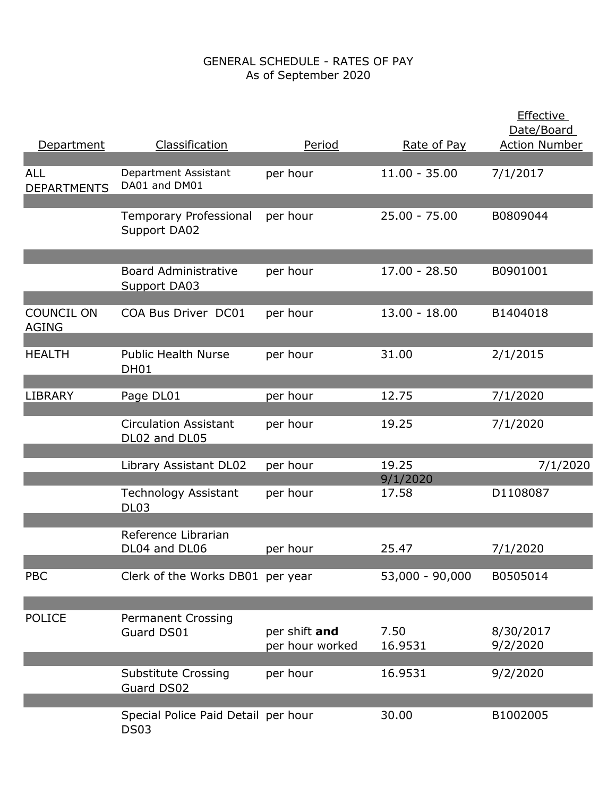| Department                        | Classification                                  | Period                           | Rate of Pay       | <b>Effective</b><br>Date/Board<br><b>Action Number</b> |
|-----------------------------------|-------------------------------------------------|----------------------------------|-------------------|--------------------------------------------------------|
| <b>ALL</b><br><b>DEPARTMENTS</b>  | Department Assistant<br>DA01 and DM01           | per hour                         | $11.00 - 35.00$   | 7/1/2017                                               |
|                                   | <b>Temporary Professional</b><br>Support DA02   | per hour                         | $25.00 - 75.00$   | B0809044                                               |
|                                   | <b>Board Administrative</b><br>Support DA03     | per hour                         | $17.00 - 28.50$   | B0901001                                               |
| <b>COUNCIL ON</b><br><b>AGING</b> | COA Bus Driver DC01                             | per hour                         | $13.00 - 18.00$   | B1404018                                               |
| <b>HEALTH</b>                     | <b>Public Health Nurse</b><br><b>DH01</b>       | per hour                         | 31.00             | 2/1/2015                                               |
| <b>LIBRARY</b>                    | Page DL01                                       | per hour                         | 12.75             | 7/1/2020                                               |
|                                   | <b>Circulation Assistant</b><br>DL02 and DL05   | per hour                         | 19.25             | 7/1/2020                                               |
|                                   | Library Assistant DL02                          | per hour                         | 19.25<br>9/1/2020 | 7/1/2020                                               |
|                                   | <b>Technology Assistant</b><br>DL <sub>03</sub> | per hour                         | 17.58             | D1108087                                               |
|                                   | Reference Librarian<br>DL04 and DL06            | per hour                         | 25.47             | 7/1/2020                                               |
| <b>PBC</b>                        | Clerk of the Works DB01 per year                |                                  | 53,000 - 90,000   | B0505014                                               |
| <b>POLICE</b>                     | <b>Permanent Crossing</b><br>Guard DS01         | per shift and<br>per hour worked | 7.50<br>16.9531   | 8/30/2017<br>9/2/2020                                  |
|                                   | <b>Substitute Crossing</b><br>Guard DS02        | per hour                         | 16.9531           | 9/2/2020                                               |
|                                   | Special Police Paid Detail per hour             |                                  | 30.00             | B1002005                                               |
|                                   | <b>DS03</b>                                     |                                  |                   |                                                        |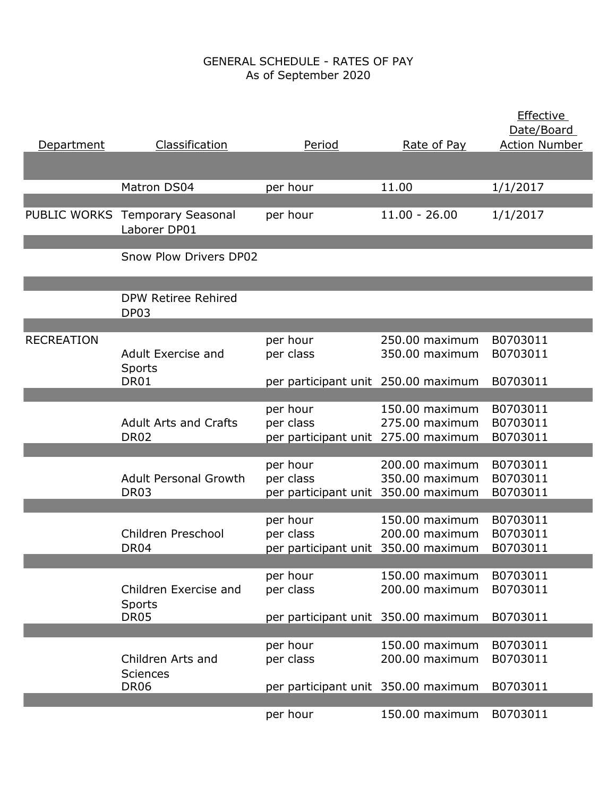| Department        | Classification                                  | Period                              | Rate of Pay     | <b>Effective</b><br>Date/Board<br><b>Action Number</b> |
|-------------------|-------------------------------------------------|-------------------------------------|-----------------|--------------------------------------------------------|
|                   | Matron DS04                                     | per hour                            | 11.00           | 1/1/2017                                               |
|                   | PUBLIC WORKS Temporary Seasonal<br>Laborer DP01 | per hour                            | $11.00 - 26.00$ | 1/1/2017                                               |
|                   | <b>Snow Plow Drivers DP02</b>                   |                                     |                 |                                                        |
|                   | DPW Retiree Rehired<br>DP03                     |                                     |                 |                                                        |
|                   |                                                 |                                     |                 |                                                        |
| <b>RECREATION</b> |                                                 | per hour                            | 250.00 maximum  | B0703011                                               |
|                   | Adult Exercise and                              | per class                           | 350.00 maximum  | B0703011                                               |
|                   | Sports                                          |                                     |                 |                                                        |
|                   | DR01                                            | per participant unit 250.00 maximum |                 | B0703011                                               |
|                   |                                                 |                                     |                 |                                                        |
|                   |                                                 | per hour                            | 150.00 maximum  | B0703011                                               |
|                   | <b>Adult Arts and Crafts</b>                    | per class                           | 275.00 maximum  | B0703011                                               |
|                   | <b>DR02</b>                                     | per participant unit 275.00 maximum |                 | B0703011                                               |
|                   |                                                 |                                     |                 |                                                        |
|                   |                                                 | per hour                            | 200.00 maximum  | B0703011                                               |
|                   | <b>Adult Personal Growth</b>                    | per class                           | 350.00 maximum  | B0703011                                               |
|                   | <b>DR03</b>                                     | per participant unit 350.00 maximum |                 | B0703011                                               |
|                   |                                                 |                                     |                 |                                                        |
|                   |                                                 | per hour                            | 150.00 maximum  | B0703011                                               |
|                   | Children Preschool                              | per class                           | 200.00 maximum  | B0703011                                               |
|                   | DR <sub>04</sub>                                | per participant unit 350.00 maximum |                 | B0703011                                               |
|                   |                                                 |                                     |                 |                                                        |
|                   |                                                 | per hour                            | 150.00 maximum  | B0703011                                               |
|                   | Children Exercise and                           | per class                           | 200.00 maximum  | B0703011                                               |
|                   | Sports                                          |                                     |                 |                                                        |
|                   | DR05                                            | per participant unit 350.00 maximum |                 | B0703011                                               |
|                   |                                                 |                                     |                 |                                                        |
|                   |                                                 | per hour                            | 150.00 maximum  | B0703011                                               |
|                   | Children Arts and                               | per class                           | 200.00 maximum  | B0703011                                               |
|                   | <b>Sciences</b>                                 |                                     |                 |                                                        |
|                   | <b>DR06</b>                                     | per participant unit 350.00 maximum |                 | B0703011                                               |
|                   |                                                 |                                     |                 |                                                        |
|                   |                                                 | per hour                            | 150.00 maximum  | B0703011                                               |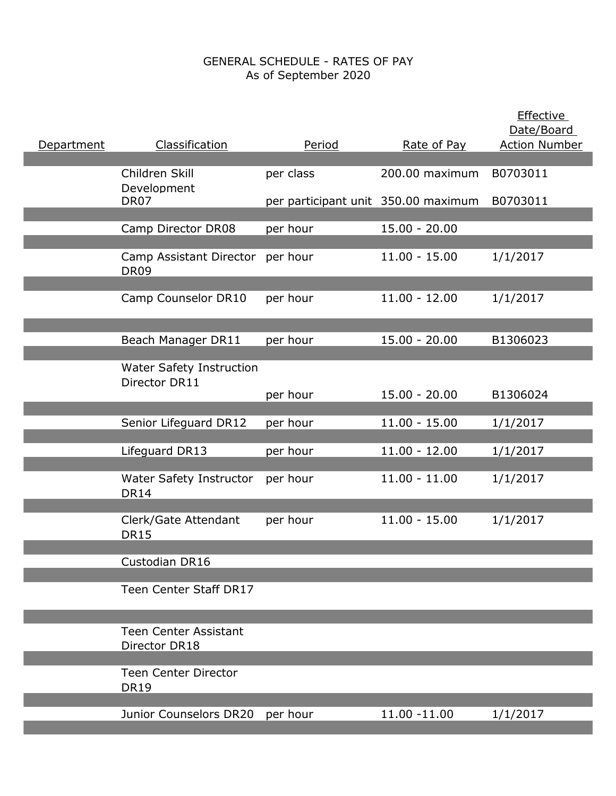| Department | Classification                                   | Period                              | Rate of Pay     | <b>Effective</b><br>Date/Board<br><b>Action Number</b> |
|------------|--------------------------------------------------|-------------------------------------|-----------------|--------------------------------------------------------|
|            | Children Skill                                   | per class                           | 200.00 maximum  | B0703011                                               |
|            | Development<br>DR07                              | per participant unit 350.00 maximum |                 | B0703011                                               |
|            | Camp Director DR08                               | per hour                            | $15.00 - 20.00$ |                                                        |
|            | Camp Assistant Director<br><b>DR09</b>           | per hour                            | $11.00 - 15.00$ | 1/1/2017                                               |
|            | Camp Counselor DR10                              | per hour                            | $11.00 - 12.00$ | 1/1/2017                                               |
|            | Beach Manager DR11                               | per hour                            | $15.00 - 20.00$ | B1306023                                               |
|            | <b>Water Safety Instruction</b><br>Director DR11 | per hour                            | $15.00 - 20.00$ | B1306024                                               |
|            | Senior Lifeguard DR12                            | per hour                            | $11.00 - 15.00$ | 1/1/2017                                               |
|            | Lifeguard DR13                                   | per hour                            | $11.00 - 12.00$ | 1/1/2017                                               |
|            | <b>Water Safety Instructor</b><br><b>DR14</b>    | per hour                            | $11.00 - 11.00$ | 1/1/2017                                               |
|            | Clerk/Gate Attendant<br><b>DR15</b>              | per hour                            | $11.00 - 15.00$ | 1/1/2017                                               |
|            | Custodian DR16                                   |                                     |                 |                                                        |
|            | Teen Center Staff DR17                           |                                     |                 |                                                        |
|            | <b>Teen Center Assistant</b><br>Director DR18    |                                     |                 |                                                        |
|            | <b>Teen Center Director</b><br><b>DR19</b>       |                                     |                 |                                                        |
|            | Junior Counselors DR20                           | per hour                            | 11.00 -11.00    | 1/1/2017                                               |
|            |                                                  |                                     |                 |                                                        |